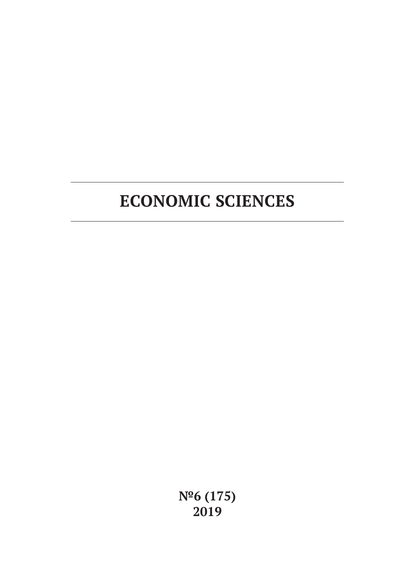# **ECONOMIC SCIENCES**

**№6 (175) 2019**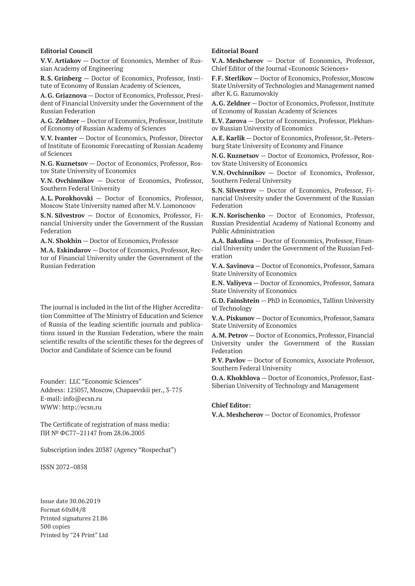#### **Editorial Council**

**V.V. Artiakov** — Doctor of Economics, Member of Russian Academy of Engineering

**R.S. Grinberg** — Doctor of Economics, Professor, Institute of Economy of Russian Academy of Sciences,

**A.G. Griaznova** — Doctor of Economics, Professor, President of Financial University under the Government of the Russian Federation

**A.G. Zeldner** — Doctor of Economics, Professor, Institute of Economy of Russian Academy of Sciences

**V.V. Ivanter** — Doctor of Economics, Professor, Director of Institute of Economic Forecasting of Russian Academy of Sciences

**N.G. Kuznetsov** — Doctor of Economics, Professor, Rostov State University of Economics

**V.N. Ovchinnikov** — Doctor of Economics, Professor, Southern Federal University

**A.L. Porokhovski** — Doctor of Economics, Professor, Moscow State University named after M.V. Lomonosov

**S.N. Silvestrov** — Doctor of Economics, Professor, Financial University under the Government of the Russian Federation

**A.N. Shokhin** — Doctor of Economics, Professor

**M.A. Eskindarov** — Doctor of Economics, Professor, Rector of Financial University under the Government of the Russian Federation

The journal is included in the list of the Higher Accreditation Committee of The Ministry of Education and Science of Russia of the leading scientific journals and publications issued in the Russian Federation, where the main scientific results of the scientific theses for the degrees of Doctor and Candidate of Science can be found

Founder: LLC "Economic Sciences" Address: 125057, Moscow, Chapaevskii per., 3-775 E-mail: info@ecsn.ru WWW: http://ecsn.ru

The Certificate of registration of mass media: ПИ № ФС77–21147 from 28.06.2005

Subscription index 20387 (Agency "Rospechat")

ISSN 2072–0858

Issue date 30.06.2019 Format 60х84/8 Printed signatures 21.86 500 copies Printed by "24 Print" Ltd

## **Editorial Board**

**V.A. Meshcherov** — Doctor of Economics, Professor, Chief Editor of the Journal «Economic Sciences»

**F.F. Sterlikov** — Doctor of Economics, Professor, Moscow State University of Technologies and Management named after K.G. Razumovskiy

**A.G. Zeldner** — Doctor of Economics, Professor, Institute of Economy of Russian Academy of Sciences

**E.V. Zarova** — Doctor of Economics, Professor, Plekhanov Russian University of Economics

**A.E. Karlik** — Doctor of Economics, Professor, St.-Petersburg State University of Economy and Finance

**N.G. Kuznetsov** — Doctor of Economics, Professor, Rostov State University of Economics

**V.N. Ovchinnikov** — Doctor of Economics, Professor, Southern Federal University

**S.N. Silvestrov** — Doctor of Economics, Professor, Financial University under the Government of the Russian Federation

**K.N. Korischenko** — Doctor of Economics, Professor, Russian Presidential Academy of National Economy and Public Administration

**A.A. Bakulina** — Doctor of Economics, Professor, Financial University under the Government of the Russian Federation

**V.A. Savinova** — Doctor of Economics, Professor, Samara State University of Economics

**E.N. Valiyeva** — Doctor of Economics, Professor, Samara State University of Economics

**G.D. Fainshtein** — PhD in Economics, Tallinn University of Technology

**V.A. Piskunov** — Doctor of Economics, Professor, Samara State University of Economics

**A.M. Petrov** — Doctor of Economics, Professor, Financial University under the Government of the Russian Federation

**P.V. Pavlov** — Doctor of Economics, Associate Professor, Southern Federal University

**O.A. Khokhlova** — Doctor of Economics, Professor, East-Siberian University of Technology and Management

#### **Chief Editor:**

**V.A. Meshcherov** — Doctor of Economics, Professor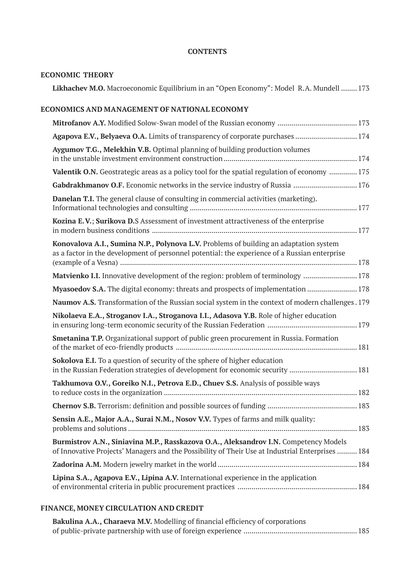## **CONTENTS**

# **ECONOMIC THEORY**

**Likhachev M.O.** Macroeconomic Equilibrium in an "Open Economy": Model R.A. Mundell ........ 173

# **ECONOMICS AND MANAGEMENT OF NATIONAL ECONOMY**

| Agapova E.V., Belyaeva O.A. Limits of transparency of corporate purchases  174                                                                                                           |
|------------------------------------------------------------------------------------------------------------------------------------------------------------------------------------------|
| Aygumov T.G., Melekhin V.B. Optimal planning of building production volumes                                                                                                              |
| Valentik O.N. Geostrategic areas as a policy tool for the spatial regulation of economy  175                                                                                             |
| Gabdrakhmanov O.F. Economic networks in the service industry of Russia  176                                                                                                              |
| Danelan T.I. The general clause of consulting in commercial activities (marketing).                                                                                                      |
| Kozina E.V.; Surikova D.S Assessment of investment attractiveness of the enterprise                                                                                                      |
| Konovalova A.I., Sumina N.P., Polynova L.V. Problems of building an adaptation system<br>as a factor in the development of personnel potential: the experience of a Russian enterprise   |
| Matvienko I.I. Innovative development of the region: problem of terminology  178                                                                                                         |
| Myasoedov S.A. The digital economy: threats and prospects of implementation  178                                                                                                         |
| Naumov A.S. Transformation of the Russian social system in the context of modern challenges . 179                                                                                        |
| Nikolaeva E.A., Stroganov I.A., Stroganova I.I., Adasova Y.B. Role of higher education                                                                                                   |
| Smetanina T.P. Organizational support of public green procurement in Russia. Formation                                                                                                   |
| Sokolova E.I. To a question of security of the sphere of higher education<br>in the Russian Federation strategies of development for economic security  181                              |
| Takhumova O.V., Goreiko N.I., Petrova E.D., Chuev S.S. Analysis of possible ways                                                                                                         |
|                                                                                                                                                                                          |
| Sensin A.E., Major A.A., Surai N.M., Nosov V.V. Types of farms and milk quality:                                                                                                         |
|                                                                                                                                                                                          |
| Burmistrov A.N., Siniavina M.P., Rasskazova O.A., Aleksandrov I.N. Competency Models<br>of Innovative Projects' Managers and the Possibility of Their Use at Industrial Enterprises  184 |
|                                                                                                                                                                                          |

# **FINANCE, MONEY CIRCULATION AND CREDIT**

| Bakulina A.A., Charaeva M.V. Modelling of financial efficiency of corporations |  |
|--------------------------------------------------------------------------------|--|
|                                                                                |  |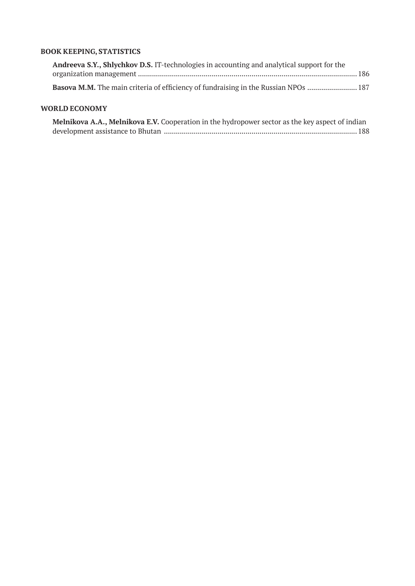# **BOOK KEEPING, STATISTICS**

| <b>Andreeva S.Y., Shlychkov D.S.</b> IT-technologies in accounting and analytical support for the |  |
|---------------------------------------------------------------------------------------------------|--|
|                                                                                                   |  |
|                                                                                                   |  |

# **WORLD ECONOMY**

| Melnikova A.A., Melnikova E.V. Cooperation in the hydropower sector as the key aspect of indian |
|-------------------------------------------------------------------------------------------------|
|                                                                                                 |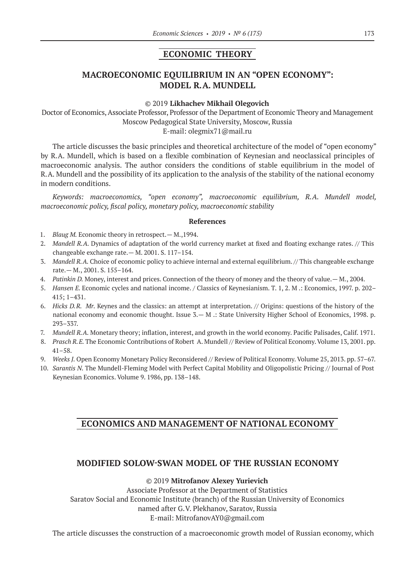# **ECONOMIC THEORY**

# **MACROECONOMIC EQUILIBRIUM IN AN "OPEN ECONOMY": MODEL R.A. MUNDELL**

#### ©© 2019 **Likhachev Mikhail Olegovich**

Doctor of Economics, Associate Professor, Professor of the Department of Economic Theory and Management Moscow Pedagogical State University, Moscow, Russia E‑mail: olegmix71@mail.ru

The article discusses the basic principles and theoretical architecture of the model of "open economy" by R.A. Mundell, which is based on a flexible combination of Keynesian and neoclassical principles of macroeconomic analysis. The author considers the conditions of stable equilibrium in the model of R.A. Mundell and the possibility of its application to the analysis of the stability of the national economy in modern conditions.

*Keywords: macroeconomics, "open economy", macroeconomic equilibrium, R.A. Mundell model, macroeconomic policy, fiscal policy, monetary policy, macroeconomic stability*

#### **References**

- 1. *Blaug M.* Economic theory in retrospect. M., 1994.
- 2. *Mandell R.A.* Dynamics of adaptation of the world currency market at fixed and floating exchange rates. // This changeable exchange rate.— M. 2001. S. 117–154.
- 3. *Mandell R.A.* Choice of economic policy to achieve internal and external equilibrium. // This changeable exchange rate.— M., 2001. S. 155–164.
- 4. *Patinkin D.* Money, interest and prices. Connection of the theory of money and the theory of value.— M., 2004.
- 5. *Hansen E.* Economic cycles and national income. / Classics of Keynesianism. T. 1, 2. M .: Economics, 1997. p. 202– 415; 1–431.
- 6. *Hicks D.R. Mr.* Keynes and the classics: an attempt at interpretation. // Origins: questions of the history of the national economy and economic thought. Issue 3.— M .: State University Higher School of Economics, 1998. p. 293–337.
- 7. *Mundell R.A.* Monetary theory; inflation, interest, and growth in the world economy. Pacific Palisades, Calif. 1971.
- 8. *Prasch R.E.* The Economic Contributions of Robert A. Mundell // Review of Political Economy. Volume 13, 2001. pp. 41–58.
- 9. *Weeks J.* Open Economy Monetary Policy Reconsidered // Review of Political Economy. Volume 25, 2013. pp. 57–67.
- 10. *Sarantis N.* The Mundell-Fleming Model with Perfect Capital Mobility and Oligopolistic Pricing // Journal of Post Keynesian Economics. Volume 9. 1986, pp. 138–148.

## **ECONOMICS AND MANAGEMENT OF NATIONAL ECONOMY**

## **MODIFIED SOLOW-SWAN MODEL OF THE RUSSIAN ECONOMY**

## ©© 2019 **Mitrofanov Alexey Yurievich**

Associate Professor at the Department of Statistics Saratov Social and Economic Institute (branch) of the Russian University of Economics named after G.V. Plekhanov, Saratov, Russia Е‑mail: MitrofanovAY0@gmail.com

The article discusses the construction of a macroeconomic growth model of Russian economy, which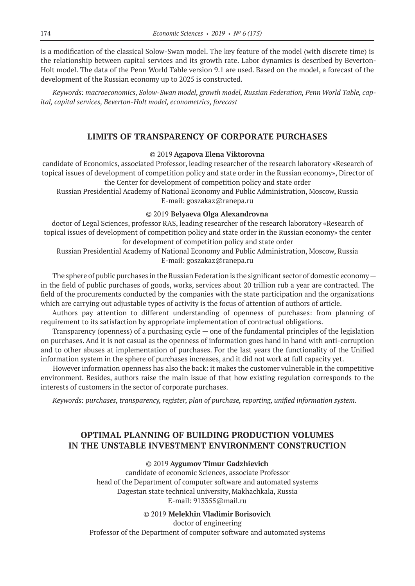is a modification of the classical Solow-Swan model. The key feature of the model (with discrete time) is the relationship between capital services and its growth rate. Labor dynamics is described by Beverton-Holt model. The data of the Penn World Table version 9.1 are used. Based on the model, a forecast of the development of the Russian economy up to 2025 is constructed.

*Keywords: macroeconomics, Solow-Swan model, growth model, Russian Federation, Penn World Table, capital, capital services, Beverton-Holt model, econometrics, forecast*

# **LIMITS OF TRANSPARENCY OF CORPORATE PURCHASES**

## ©© 2019 **Agapova Elena Viktorovna**

candidate of Economics, associated Professor, leading researcher of the research laboratory «Research of topical issues of development of competition policy and state order in the Russian economy», Director of the Center for development of competition policy and state order

Russian Presidential Academy of National Economy and Public Administration, Moscow, Russia E‑mail: goszakaz@ranepa.ru

## ©© 2019 **Belyaeva Olga Alexandrovna**

doctor of Legal Sciences, professor RAS, leading researcher of the research laboratory «Research of topical issues of development of competition policy and state order in the Russian economy» the center for development of competition policy and state order

Russian Presidential Academy of National Economy and Public Administration, Moscow, Russia E‑mail: goszakaz@ranepa.ru

The sphere of public purchases in the Russian Federation is the significant sector of domestic economy  $$ in the field of public purchases of goods, works, services about 20 trillion rub a year are contracted. The field of the procurements conducted by the companies with the state participation and the organizations which are carrying out adjustable types of activity is the focus of attention of authors of article.

Authors pay attention to different understanding of openness of purchases: from planning of requirement to its satisfaction by appropriate implementation of contractual obligations.

Transparency (openness) of a purchasing cycle — one of the fundamental principles of the legislation on purchases. And it is not casual as the openness of information goes hand in hand with anti-corruption and to other abuses at implementation of purchases. For the last years the functionality of the Unified information system in the sphere of purchases increases, and it did not work at full capacity yet.

However information openness has also the back: it makes the customer vulnerable in the competitive environment. Besides, authors raise the main issue of that how existing regulation corresponds to the interests of customers in the sector of corporate purchases.

*Keywords: purchases, transparency, register, plan of purchase, reporting, unified information system.*

# **OPTIMAL PLANNING OF BUILDING PRODUCTION VOLUMES IN THE UNSTABLE INVESTMENT ENVIRONMENT CONSTRUCTION**

## ©© 2019 **Aygumov Timur Gadzhievich**

candidate of economic Sciences, associate Professor head of the Department of computer software and automated systems Dagestan state technical university, Makhachkala, Russia E‑mail: 913355@mail.ru

©© 2019 **Melekhin Vladimir Borisovich**

doctor of engineering

Professor of the Department of computer software and automated systems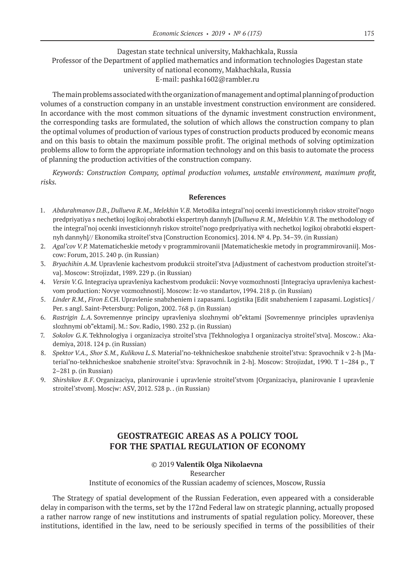## Dagestan state technical university, Makhachkala, Russia Professor of the Department of applied mathematics and information technologies Dagestan state university of national economy, Makhachkala, Russia E‑mail: pashka1602@rambler.ru

The main problems associated with the organization of management and optimal planning of production volumes of a construction company in an unstable investment construction environment are considered. In accordance with the most common situations of the dynamic investment construction environment, the corresponding tasks are formulated, the solution of which allows the construction company to plan the optimal volumes of production of various types of construction products produced by economic means and on this basis to obtain the maximum possible profit. The original methods of solving optimization problems allow to form the appropriate information technology and on this basis to automate the process of planning the production activities of the construction company.

*Keywords: Construction Company, optimal production volumes, unstable environment, maximum profit, risks.*

## **References**

- 1. *Abdurahmanov D.B., Dullueva R.M., Melekhin V.B.* Metodika integral'noj ocenki investicionnyh riskov stroitel'nogo predpriyatiya s nechetkoj logikoj obrabotki ekspertnyh dannyh [*Dullueva R.M., Melekhin V.B.* The methodology of the integral'noj ocenki investicionnyh riskov stroitel'nogo predpriyatiya with nechetkoj logikoj obrabotki ekspertnyh dannyh]// Ekonomika stroitel'stva [Construction Economics]. 2014. № 4. Pp. 34–39. (in Russian)
- 2. *Agal'cov V.P.* Matematicheskie metody v programmirovanii [Matematicheskie metody in programmirovanii]. Moscow: Forum, 2015. 240 p. (in Russian)
- 3. *Bryachihin A.M.* Upravlenie kachestvom produkcii stroitel'stva [Adjustment of cachestvom production stroitel'stva]. Moscow: Strojizdat, 1989. 229 p. (in Russian)
- 4. *Versin V.G.* Integraciya upravleniya kachestvom produkcii: Novye vozmozhnosti [Integraciya upravleniya kachestvom production: Novye vozmozhnosti]. Moscow: Iz-vo standartov, 1994. 218 p. (in Russian)
- 5. *Linder R.M., Firon E.*CH. Upravlenie snabzheniem i zapasami. Logistika [Edit snabzheniem I zapasami. Logistics] / Per. s angl. Saint-Petersburg: Poligon, 2002. 768 p. (in Russian)
- 6. *Rastrigin L.A.* Sovremennye principy upravleniya slozhnymi ob"ektami [Sovremennye principles upravleniya slozhnymi ob"ektami]. M.: Sov. Radio, 1980. 232 p. (in Russian)
- 7. *Sokolov G.K.* Tekhnologiya i organizaciya stroitel'stva [Tekhnologiya I organizaciya stroitel'stva]. Moscow.: Akademiya, 2018. 124 p. (in Russian)
- 8. *Spektor V.A., Shor S.M., Kulikova L.S.* Material'no-tekhnicheskoe snabzhenie stroitel'stva: Spravochnik v 2-h [Material'no-tekhnicheskoe snabzhenie stroitel'stva: Spravochnik in 2-h]. Moscow: Strojizdat, 1990. T 1–284 p., T 2–281 p. (in Russian)
- 9. *Shirshikov B.F.* Organizaciya, planirovanie i upravlenie stroitel'stvom [Organizaciya, planirovanie I upravlenie stroitel'stvom]. Moscjw: ASV, 2012. 528 p. . (in Russian)

# **GEOSTRATEGIC AREAS AS A POLICY TOOL FOR THE SPATIAL REGULATION OF ECONOMY**

## ©© 2019 **Valentik Olga Nikolaevna**

## Researcher

## Institute of economics of the Russian academy of sciences, Moscow, Russia

The Strategy of spatial development of the Russian Federation, even appeared with a considerable delay in comparison with the terms, set by the 172nd Federal law on strategic planning, actually proposed a rather narrow range of new institutions and instruments of spatial regulation policy. Moreover, these institutions, identified in the law, need to be seriously specified in terms of the possibilities of their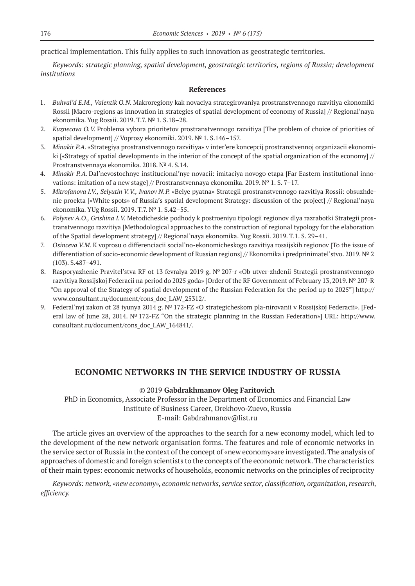practical implementation. This fully applies to such innovation as geostrategic territories.

*Keywords: strategic planning, spatial development, geostrategic territories, regions of Russia; development institutions*

#### **References**

- 1. *Buhval'd E.M., Valentik O.N.* Makroregiony kak novaciya strategirovaniya prostranstvennogo razvitiya ekonomiki Rossii [Macro-regions as innovation in strategies of spatial development of economy of Russia] // Regional'naya ekonomika. Yug Rossii. 2019. T.7. № 1. S.18–28.
- 2. *Kuznecova O.V.* Problema vybora prioritetov prostranstvennogo razvitiya [The problem of choice of priorities of spatial development] // Voprosy ekonomiki. 2019. № 1. S.146–157.
- 3. *Minakir P.A.* «Strategiya prostranstvennogo razvitiya» v inter'ere koncepcij prostranstvennoj organizacii ekonomiki [«Strategy of spatial development» in the interior of the concept of the spatial organization of the economy] // Prostranstvennaya ekonomika. 2018. № 4. S.14.
- 4. *Minakir P.A.* Dal'nevostochnye institucional'nye novacii: imitaciya novogo etapa [Far Eastern institutional innovations: imitation of a new stage] // Prostranstvennaya ekonomika. 2019.  $N^{\circ}$  1. S. 7–17.
- 5. *Mitrofanova I.V., Selyutin V.V., Ivanov N.P.* «Belye pyatna» Strategii prostranstvennogo razvitiya Rossii: obsuzhdenie proekta [«White spots» of Russia's spatial development Strategy: discussion of the project] // Regional'naya ekonomika. YUg Rossii. 2019. T.7. № 1. S.42–55.
- 6. *Polynev A.O., Grishina I.V.* Metodicheskie podhody k postroeniyu tipologii regionov dlya razrabotki Strategii prostranstvennogo razvitiya [Methodological approaches to the construction of regional typology for the elaboration of the Spatial development strategy] // Regional'naya ekonomika. Yug Rossii. 2019. T.1. S. 29–41.
- 7. *Osinceva V.M.* K voprosu o differenciacii social'no-ekonomicheskogo razvitiya rossijskih regionov [To the issue of differentiation of socio-economic development of Russian regions] // Ekonomika i predprinimatel'stvo. 2019. № 2 (103). S.487–491.
- 8. Rasporyazhenie Pravitel'stva RF ot 13 fevralya 2019 g. № 207-r «Ob utver-zhdenii Strategii prostranstvennogo razvitiya Rossijskoj Federacii na period do 2025 goda» [Order of the RF Government of February 13, 2019. № 207-R "On approval of the Strategy of spatial development of the Russian Federation for the period up to 2025"] http:// www.consultant.ru/document/cons\_doc\_LAW\_25312/.
- 9. Federal'nyj zakon ot 28 iyunya 2014 g. № 172-FZ «O strategicheskom pla-nirovanii v Rossijskoj Federacii». [Federal law of June 28, 2014. № 172-FZ "On the strategic planning in the Russian Federation»] URL: http://www. consultant.ru/document/cons\_doc\_LAW\_164841/.

## **ECONOMIC NETWORKS IN THE SERVICE INDUSTRY OF RUSSIA**

## ©© 2019 **Gabdrakhmanov Oleg Faritovich**

PhD in Economics, Associate Professor in the Department of Economics and Financial Law Institute of Business Career, Orekhovo-Zuevo, Russia E‑mail: Gabdrahmanov@list.ru

The article gives an overview of the approaches to the search for a new economy model, which led to the development of the new network organisation forms. The features and role of economic networks in the service sector of Russia in the context of the concept of «new economy»are investigated. The analysis of approaches of domestic and foreign scientists to the concepts of the economic network. The characteristics of their main types: economic networks of households, economic networks on the principles of reciprocity

*Keywords: network, «new economy», economic networks, service sector, classification, organization, research, efficiency.*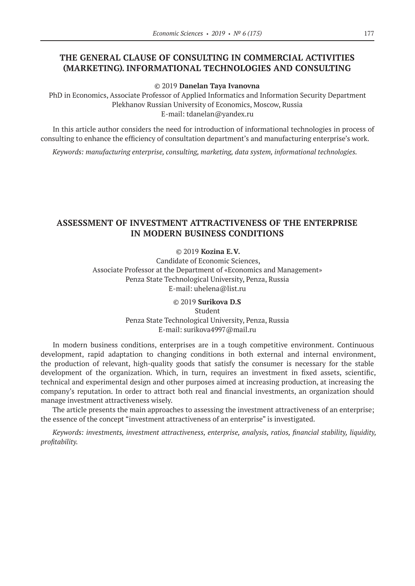# **THE GENERAL CLAUSE OF CONSULTING IN COMMERCIAL ACTIVITIES (MARKETING). INFORMATIONAL TECHNOLOGIES AND CONSULTING**

©© 2019 **Danelan Taya Ivanovna**

PhD in Economics, Associate Professor of Applied Informatics and Information Security Department Plekhanov Russian University of Economics, Moscow, Russia E‑mail: tdanelan@yandex.ru

In this article author considers the need for introduction of informational technologies in process of consulting to enhance the efficiency of consultation department's and manufacturing enterprise's work.

*Keywords: manufacturing enterprise, consulting, marketing, data system, informational technologies.*

# **ASSESSMENT OF INVESTMENT ATTRACTIVENESS OF THE ENTERPRISE IN MODERN BUSINESS CONDITIONS**

©© 2019 **Kozina E.V.**

Candidate of Economic Sciences, Associate Professor at the Department of «Economics and Management» Penza State Technological University, Penza, Russia E-mail: uhelena@list.ru

> ©© 2019 **Surikova D.S** Student Penza State Technological University, Penza, Russia E‑mail: surikova4997@mail.ru

In modern business conditions, enterprises are in a tough competitive environment. Continuous development, rapid adaptation to changing conditions in both external and internal environment, the production of relevant, high-quality goods that satisfy the consumer is necessary for the stable development of the organization. Which, in turn, requires an investment in fixed assets, scientific, technical and experimental design and other purposes aimed at increasing production, at increasing the company's reputation. In order to attract both real and financial investments, an organization should manage investment attractiveness wisely.

The article presents the main approaches to assessing the investment attractiveness of an enterprise; the essence of the concept "investment attractiveness of an enterprise" is investigated.

*Keywords: investments, investment attractiveness, enterprise, analysis, ratios, financial stability, liquidity, profitability.*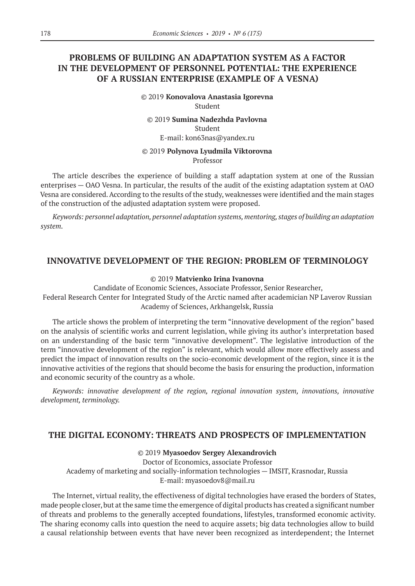# **PROBLEMS OF BUILDING AN ADAPTATION SYSTEM AS A FACTOR IN THE DEVELOPMENT OF PERSONNEL POTENTIAL: THE EXPERIENCE OF A RUSSIAN ENTERPRISE (EXAMPLE OF A VESNA)**

©© 2019 **Konovalova Anastasia Igorevna** Student

©© 2019 **Sumina Nadezhda Pavlovna** Student E‑mail: kon63nas@yandex.ru

## ©© 2019 **Polynova Lyudmila Viktorovna** Professor

The article describes the experience of building a staff adaptation system at one of the Russian enterprises — OAO Vesna. In particular, the results of the audit of the existing adaptation system at OAO Vesna are considered. According to the results of the study, weaknesses were identified and the main stages of the construction of the adjusted adaptation system were proposed.

*Keywords: personnel adaptation, personnel adaptation systems, mentoring, stages of building an adaptation system.*

## **INNOVATIVE DEVELOPMENT OF THE REGION: PROBLEM OF TERMINOLOGY**

## ©© 2019 **Matvienko Irina Ivanovna**

Candidate of Economic Sciences, Associate Professor, Senior Researcher, Federal Research Center for Integrated Study of the Arctic named after academician NP Laverov Russian Academy of Sciences, Arkhangelsk, Russia

The article shows the problem of interpreting the term "innovative development of the region" based on the analysis of scientific works and current legislation, while giving its author's interpretation based on an understanding of the basic term "innovative development". The legislative introduction of the term "innovative development of the region" is relevant, which would allow more effectively assess and predict the impact of innovation results on the socio-economic development of the region, since it is the innovative activities of the regions that should become the basis for ensuring the production, information and economic security of the country as a whole.

*Keywords: innovative development of the region, regional innovation system, innovations, innovative development, terminology.*

## **THE DIGITAL ECONOMY: THREATS AND PROSPECTS OF IMPLEMENTATION**

## ©© 2019 **Myasoedov Sergey Alexandrovich**

Doctor of Economics, associate Professor Academy of marketing and socially-information technologies — IMSIT, Krasnodar, Russia E-mail: myasoedov8@mail.ru

The Internet, virtual reality, the effectiveness of digital technologies have erased the borders of States, made people closer, but at the same time the emergence of digital products has created a significant number of threats and problems to the generally accepted foundations, lifestyles, transformed economic activity. The sharing economy calls into question the need to acquire assets; big data technologies allow to build a causal relationship between events that have never been recognized as interdependent; the Internet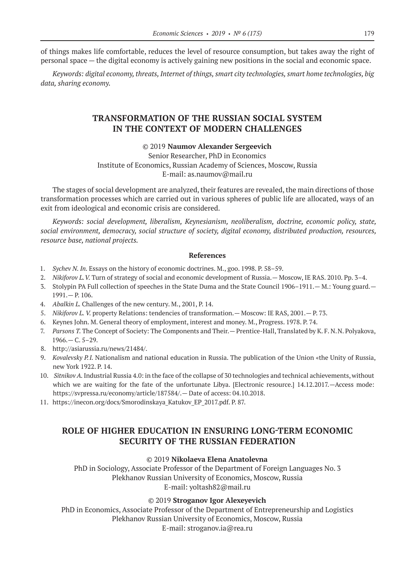of things makes life comfortable, reduces the level of resource consumption, but takes away the right of personal space — the digital economy is actively gaining new positions in the social and economic space.

*Keywords: digital economy, threats, Internet of things, smart city technologies, smart home technologies, big data, sharing economy.*

# **TRANSFORMATION OF THE RUSSIAN SOCIAL SYSTEM IN THE CONTEXT OF MODERN CHALLENGES**

## ©© 2019 **Naumov Alexander Sergeevich**

Senior Researcher, PhD in Economics

Institute of Economics, Russian Academy of Sciences, Moscow, Russia

E-mail: as.naumov@mail.ru

The stages of social development are analyzed, their features are revealed, the main directions of those transformation processes which are carried out in various spheres of public life are allocated, ways of an exit from ideological and economic crisis are considered.

*Keywords: social development, liberalism, Keynesianism, neoliberalism, doctrine, economic policy, state, social environment, democracy, social structure of society, digital economy, distributed production, resources, resource base, national projects.*

## **References**

- 1. *Sychev N. In.* Essays on the history of economic doctrines. M., goo. 1998. P. 58–59.
- 2. *Nikiforov L.V.* Turn of strategy of social and economic development of Russia.— Moscow, IE RAS. 2010. Pp. 3–4.
- 3. Stolypin PA Full collection of speeches in the State Duma and the State Council 1906–1911.— M.: Young guard.— 1991.— P. 106.
- 4. *Abalkin L.* Challenges of the new century. M., 2001, P. 14.
- 5. *Nikiforov L. V.* property Relations: tendencies of transformation.— Moscow: IE RAS, 2001.— P. 73.
- 6. Keynes John. M. General theory of employment, interest and money. M., Progress. 1978. P. 74.
- 7. *Parsons T.* The Concept of Society: The Components and Their.— Prentice-Hall, Translated by K. F. N.N. Polyakova,  $1966 - C. 5 - 29.$
- 8. http://asiarussia.ru/news/21484/.
- 9. *Kovalevsky P.I.* Nationalism and national education in Russia. The publication of the Union «the Unity of Russia, new York 1922. P. 14.
- 10. *Sitnikov A.* Industrial Russia 4.0: in the face of the collapse of 30 technologies and technical achievements, without which we are waiting for the fate of the unfortunate Libya. [Electronic resource.] 14.12.2017.—Access mode: https://svpressa.ru/economy/article/187584/.— Date of access: 04.10.2018.
- 11. https://inecon.org/docs/Smorodinskaya\_Katukov\_EP\_2017.pdf. P. 87.

# **ROLE OF HIGHER EDUCATION IN ENSURING LONG-TERM ECONOMIC SECURITY OF THE RUSSIAN FEDERATION**

## ©© 2019 **Nikolaeva Elena Anatolevna**

PhD in Sociology, Associate Professor of the Department of Foreign Languages No. 3 Plekhanov Russian University of Economics, Moscow, Russia E-mail: yoltash82@mail.ru

## ©© 2019 **Stroganov Igor Alexeyevich**

PhD in Economics, Associate Professor of the Department of Entrepreneurship and Logistics Plekhanov Russian University of Economics, Moscow, Russia E-mail: stroganov.ia@rea.ru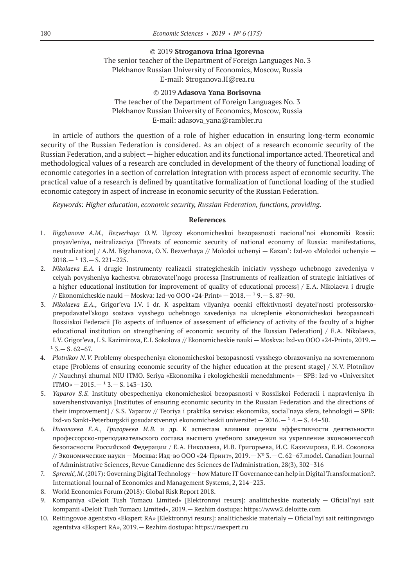# ©© 2019 **Stroganova Irina Igorevna** The senior teacher of the Department of Foreign Languages No. 3 Plekhanov Russian University of Economics, Moscow, Russia E-mail: Stroganova.II@rea.ru

## ©© 2019 **Adasova Yana Borisovna** The teacher of the Department of Foreign Languages No. 3 Plekhanov Russian University of Economics, Moscow, Russia E‑mail: adasova\_yana@rambler.ru

In article of authors the question of a role of higher education in ensuring long-term economic security of the Russian Federation is considered. As an object of a research economic security of the Russian Federation, and a subject — higher education and its functional importance acted. Theoretical and methodological values of a research are concluded in development of the theory of functional loading of economic categories in a section of correlation integration with process aspect of economic security. The practical value of a research is defined by quantitative formalization of functional loading of the studied economic category in aspect of increase in economic security of the Russian Federation.

*Keywords: Higher education, economic security, Russian Federation, functions, providing.*

#### **References**

- 1. *Bigzhanova A.M., Bezverhaya O.N.*  Ugrozy ekonomicheskoi bezopasnosti nacional'noi ekonomiki Rossii: proyavleniya, neitralizaciya [Threats of economic security of national economy of Russia: manifestations, neutralization] / A.M. Bigzhanova, O.N. Bezverhaya // Molodoi uchenyi — Kazan': Izd-vo «Molodoi uchenyi» —  $2018. - 113. - S. 221 - 225.$
- 2. *Nikolaeva E.A.* i drugie Instrumenty realizacii strategicheskih iniciativ vysshego uchebnogo zavedeniya v celyah povysheniya kachestva obrazovatel'nogo processa [Instruments of realization of strategic initiatives of a higher educational institution for improvement of quality of educational process] / E.A. Nikolaeva i drugie // Ekonomicheskie nauki — Moskva: Izd-vo OOO «24-Print» —  $2018. - 19. - S. 87-90.$
- 3. *Nikolaeva E.A.,* Grigor'eva I.V. i dr. K aspektam vliyaniya ocenki effektivnosti deyatel'nosti professorskoprepodavatel'skogo sostava vysshego uchebnogo zavedeniya na ukreplenie ekonomicheskoi bezopasnosti Rossiiskoi Federacii [To aspects of influence of assessment of efficiency of activity of the faculty of a higher educational institution on strengthening of economic security of the Russian Federation] / E.A. Nikolaeva, I.V. Grigor'eva, I.S. Kazimirova, E.I. Sokolova // Ekonomicheskie nauki — Moskva: Izd-vo OOO «24-Print», 2019.—  $13. - S. 62-67.$
- 4. *Plotnikov N.V.* Problemy obespecheniya ekonomicheskoi bezopasnosti vysshego obrazovaniya na sovremennom etape [Problems of ensuring economic security of the higher education at the present stage] / N.V. Plotnikov // Nauchnyi zhurnal NIU ITMO. Seriya «Ekonomika i ekologicheskii menedzhment» — SPB: Izd-vo «Universitet  $ITMO$ »  $-2015$ ,  $15$ ,  $-$  S,  $143$ - $150$ .
- 5. *Yaparov S.S.*  Instituty obespecheniya ekonomicheskoi bezopasnosti v Rossiiskoi Federacii i napravleniya ih sovershenstvovaniya [Institutes of ensuring economic security in the Russian Federation and the directions of their improvement] / S.S. Yaparov // Teoriya i praktika servisa: ekonomika, social'naya sfera, tehnologii — SPB: Izd-vo Sankt-Peterburgskii gosudarstvennyi ekonomicheskii universitet  $-2016. - 14. - S. 44-50.$
- 6. *Николаева Е.А., Григорьева И.В.* и др. К аспектам влияния оценки эффективности деятельности профессорско-преподавательского состава высшего учебного заведения на укрепление экономической безопасности Российской Федерации / Е.А. Николаева, И.В. Григорьева, И.С. Казимирова, Е.И. Соколова // Экономические науки — Москва: Изд-во ООО «24-Принт», 2019.— № 3.— С. 62–67.model. Canadian Journal of Administrative Sciences, Revue Canadienne des Sciences de l'Administration, 28(3), 302–316
- 7. *Spremić, M*. (2017): Governing Digital Technology—how Mature IT Governance can help in Digital Transformation?. International Journal of Economics and Management Systems, 2, 214–223.
- 8. World Economics Forum (2018): Global Risk Report 2018.
- 9. Kompaniya «Deloit Tush Tomacu Limited» [Elektronnyi resurs]: analiticheskie materialy Oficial'nyi sait kompanii «Deloit Tush Tomacu Limited», 2019.— Rezhim dostupa: https://www2.deloitte.com
- 10. Reitingovoe agentstvo «Ekspert RA» [Elektronnyi resurs]: analiticheskie materialy Oficial'nyi sait reitingovogo agentstva «Ekspert RA», 2019.— Rezhim dostupa: https://raexpert.ru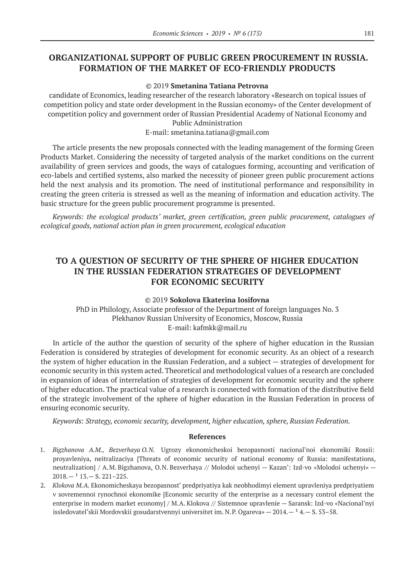# **ORGANIZATIONAL SUPPORT OF PUBLIC GREEN PROCUREMENT IN RUSSIA. FORMATION OF THE MARKET OF ECO-FRIENDLY PRODUCTS**

## ©© 2019 **Smetanina Tatiana Petrovna**

candidate of Economics, leading researcher of the research laboratory «Research on topical issues of competition policy and state order development in the Russian economy» of the Center development of competition policy and government order of Russian Presidential Academy of National Economy and Public Administration

E-mail: smetanina.tatiana@gmail.com

The article presents the new proposals connected with the leading management of the forming Green Products Market. Considering the necessity of targeted analysis of the market conditions on the current availability of green services and goods, the ways of catalogues forming, accounting and verification of eco-labels and certified systems, also marked the necessity of pioneer green public procurement actions held the neхt analysis and its promotion. The need of institutional performance and responsibility in creating the green criteria is stressed as well as the meaning of information and education activity. The basic structure for the green public procurement programme is presented.

*Keywords: the ecological products' market, green certification, green public procurement, catalogues of ecological goods, national action plan in green procurement, ecological education*

# **TO A QUESTION OF SECURITY OF THE SPHERE OF HIGHER EDUCATION IN THE RUSSIAN FEDERATION STRATEGIES OF DEVELOPMENT FOR ECONOMIC SECURITY**

## ©© 2019 **Sokolova Ekaterina Iosifovna**

PhD in Philology, Associate professor of the Department of foreign languages No. 3 Plekhanov Russian University of Economics, Moscow, Russia E‑mail: kafmkk@mail.ru

In article of the author the question of security of the sphere of higher education in the Russian Federation is considered by strategies of development for economic security. As an object of a research the system of higher education in the Russian Federation, and a subject — strategies of development for economic security in this system acted. Theoretical and methodological values of a research are concluded in expansion of ideas of interrelation of strategies of development for economic security and the sphere of higher education. The practical value of a research is connected with formation of the distributive field of the strategic involvement of the sphere of higher education in the Russian Federation in process of ensuring economic security.

*Keywords: Strategy, economic security, development, higher education, sphere, Russian Federation.*

#### **References**

- 1. *Bigzhanova A.M., Bezverhaya O.N.* Ugrozy ekonomicheskoi bezopasnosti nacional'noi ekonomiki Rossii: proyavleniya, neitralizaciya [Threats of economic security of national economy of Russia: manifestations, neutralization] / A.M. Bigzhanova, O.N. Bezverhaya // Molodoi uchenyi — Kazan': Izd-vo «Molodoi uchenyi» —  $2018. - 113. - S. 221 - 225.$
- 2. *Klokova M.A.* Ekonomicheskaya bezopasnost' predpriyatiya kak neobhodimyi element upravleniya predpriyatiem v sovremennoi rynochnoi ekonomike [Economic security of the enterprise as a necessary control element the enterprise in modern market economy] / M.A. Klokova // Sistemnoe upravlenie — Saransk: Izd-vo «Nacional'nyi issledovatel'skii Mordovskii gosudarstvennyi universitet im. N.P. Ogareva»  $-2014. -14. -5.53-58.$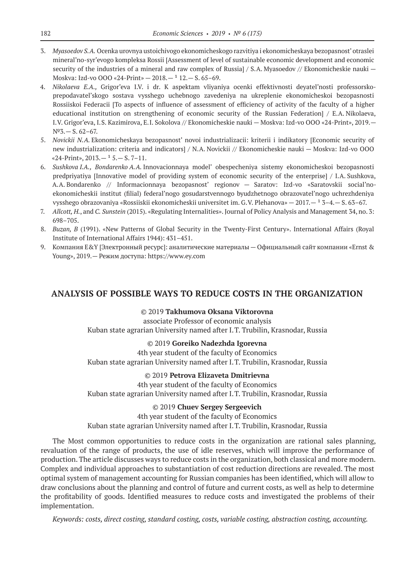- 3. *Myasoedov S.A.* Ocenka urovnya ustoichivogo ekonomicheskogo razvitiya i ekonomicheskaya bezopasnost' otraslei mineral'no-syr'evogo kompleksa Rossii [Assessment of level of sustainable economic development and economic security of the industries of a mineral and raw complex of Russia] / S.A. Myasoedov // Ekonomicheskie nauki – Moskva: Izd-vo OOO «24-Print» -  $2018$  -  $112$  - S, 65-69.
- 4. *Nikolaeva E.A.,* Grigor'eva I.V. i dr. K aspektam vliyaniya ocenki effektivnosti deyatel'nosti professorskoprepodavatel'skogo sostava vysshego uchebnogo zavedeniya na ukreplenie ekonomicheskoi bezopasnosti Rossiiskoi Federacii [To aspects of influence of assessment of efficiency of activity of the faculty of a higher educational institution on strengthening of economic security of the Russian Federation] / E.A. Nikolaeva, I.V. Grigor'eva, I.S. Kazimirova, E.I. Sokolova // Ekonomicheskie nauki — Moskva: Izd-vo OOO «24-Print», 2019.— №3.— S. 62–67.
- 5. *Novickii N.A.* Ekonomicheskaya bezopasnost' novoi industrializacii: kriterii i indikatory [Economic security of new industrialization: criteria and indicators] / N.A. Novickii // Ekonomicheskie nauki — Moskva: Izd-vo OOO «24-Print»,  $2013 - 15 - S$ . 7-11.
- 6. *Sushkova I.A., Bondarenko A.A.* Innovacionnaya model' obespecheniya sistemy ekonomicheskoi bezopasnosti predpriyatiya [Innovative model of providing system of economic security of the enterprise] / I.A. Sushkova, A.A. Bondarenko // Informacionnaya bezopasnost' regionov — Saratov: Izd-vo «Saratovskii social'noekonomicheskii institut (filial) federal'nogo gosudarstvennogo byudzhetnogo obrazovatel'nogo uchrezhdeniya vysshego obrazovaniya «Rossiiskii ekonomicheskii universitet im. G.V. Plehanova» —  $2017. - 13 - 4. - S. 63 - 67.$
- 7. *Allcott, H.*, and *C. Sunstein* (2015). «Regulating Internalities». Journal of Policy Analysis and Management 34, no. 3: 698–705.
- 8. *Buzan, B* (1991). «New Patterns of Global Security in the Twenty-First Century». International Affairs (Royal Institute of International Affairs 1944): 431–451.
- 9. Компания E&Y [Электронный ресурс]: аналитические материалы Официальный сайт компании «Ernst & Young», 2019.— Режим доступа: https://www.ey.com

## **ANALYSIS OF POSSIBLE WAYS TO REDUCE COSTS IN THE ORGANIZATION**

## ©© 2019 **Takhumova Oksana Viktorovna**

associate Professor of economic analysis Kuban state agrarian University named after I.T. Trubilin, Krasnodar, Russia

## ©© 2019 **Goreiko Nadezhda Igorevna**

4th year student of the faculty of Economics Kuban state agrarian University named after I.T. Trubilin, Krasnodar, Russia

## ©© 2019 **Petrova Elizaveta Dmitrievna**

4th year student of the faculty of Economics Kuban state agrarian University named after I.T. Trubilin, Krasnodar, Russia

## ©© 2019 **Chuev Sergey Sergeevich**

4th year student of the faculty of Economics

Kuban state agrarian University named after I.T. Trubilin, Krasnodar, Russia

The Most common opportunities to reduce costs in the organization are rational sales planning, revaluation of the range of products, the use of idle reserves, which will improve the performance of production. The article discusses ways to reduce costs in the organization, both classical and more modern. Complex and individual approaches to substantiation of cost reduction directions are revealed. The most optimal system of management accounting for Russian companies has been identified, which will allow to draw conclusions about the planning and control of future and current costs, as well as help to determine the profitability of goods. Identified measures to reduce costs and investigated the problems of their implementation.

*Keywords: costs, direct costing, standard costing, costs, variable costing, abstraction costing, accounting.*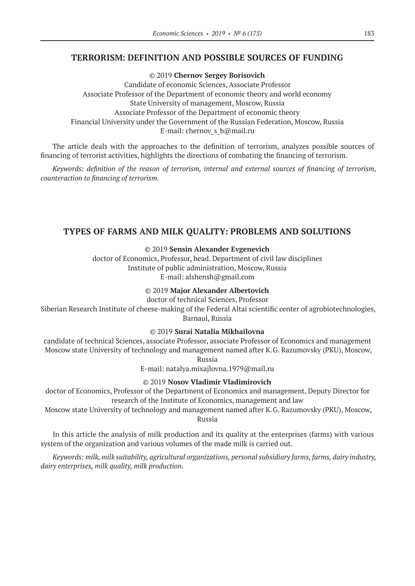## **TERRORISM: DEFINITION AND POSSIBLE SOURCES OF FUNDING**

©© 2019 **Chernov Sergey Borisovich** Candidate of economic Sciences, Associate Professor Associate Professor of the Department of economic theory and world economy State University of management, Moscow, Russia Associate Professor of the Department of economic theory Financial University under the Government of the Russian Federation, Moscow, Russia E-mail: chernov s b@mail.ru

The article deals with the approaches to the definition of terrorism, analyzes possible sources of financing of terrorist activities, highlights the directions of combating the financing of terrorism.

*Keywords: definition of the reason of terrorism, internal and external sources of financing of terrorism, counteraction to financing of terrorism.*

## **TYPES OF FARMS AND MILK QUALITY: PROBLEMS AND SOLUTIONS**

©© 2019 **Sensin Alexander Evgenevich**

doctor of Economics, Professor, head. Department of civil law disciplines Institute of public administration, Moscow, Russia E-mail: alshensh@gmail.com

## ©© 2019 **Major Alexander Albertovich**

doctor of technical Sciences, Professor

Siberian Research Institute of cheese-making of the Federal Altai scientific center of agrobiotechnologies, Barnaul, Russia

#### ©© 2019 **Surai Natalia Mikhailovna**

candidate of technical Sciences, associate Professor, associate Professor of Economics and management Moscow state University of technology and management named after K.G. Razumovsky (PKU), Moscow,

Russia

E‑mail: natalya.mixajlovna.1979@mail.ru

## ©© 2019 **Nosov Vladimir Vladimirovich**

doctor of Economics, Professor of the Department of Economics and management, Deputy Director for research of the Institute of Economics, management and law

Moscow state University of technology and management named after K.G. Razumovsky (PKU), Moscow, Russia

In this article the analysis of milk production and its quality at the enterprises (farms) with various system of the organization and various volumes of the made milk is carried out.

*Keywords: milk, milk suitability, agricultural organizations, personal subsidiary farms, farms, dairy industry, dairy enterprises, milk quality, milk production.*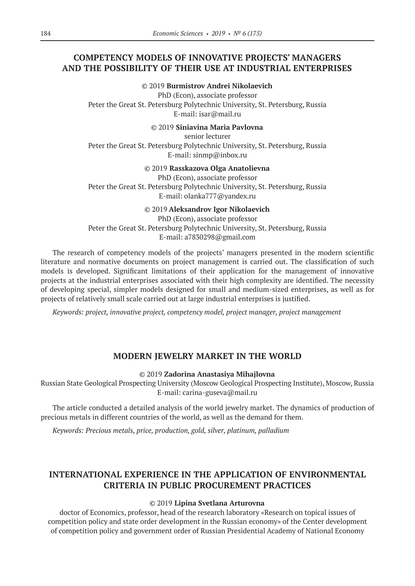# **COMPETENCY MODELS OF INNOVATIVE PROJECTS' MANAGERS AND THE POSSIBILITY OF THEIR USE AT INDUSTRIAL ENTERPRISES**

©© 2019 **Burmistrov Andrei Nikolaevich**

PhD (Econ), associate professor Peter the Great St. Petersburg Polytechnic University, St. Petersburg, Russia E-mail: isar@mail.ru

©© 2019 **Siniavina Maria Pavlovna**

senior lecturer Peter the Great St. Petersburg Polytechnic University, St. Petersburg, Russia E‑mail: sinmp@inbox.ru

## ©© 2019 **Rasskazova Olga Anatolievna**

PhD (Econ), associate professor Peter the Great St. Petersburg Polytechnic University, St. Petersburg, Russia E‑mail: olanka777@yandex.ru

©© 2019 **Aleksandrov Igor Nikolaevich**

PhD (Econ), associate professor Peter the Great St. Petersburg Polytechnic University, St. Petersburg, Russia E‑mail: a7830298@gmail.com

The research of competency models of the projects' managers presented in the modern scientific literature and normative documents on project management is carried out. The classification of such models is developed. Significant limitations of their application for the management of innovative projects at the industrial enterprises associated with their high complexity are identified. The necessity of developing special, simpler models designed for small and medium-sized enterprises, as well as for projects of relatively small scale carried out at large industrial enterprises is justified.

*Keywords: project, innovative project, competency model, project manager, project management*

## **MODERN JEWELRY MARKET IN THE WORLD**

©© 2019 **Zadorina Anastasiya Mihajlovna**

Russian State Geological Prospecting University (Moscow Geological Prospecting Institute), Moscow, Russia E-mail: carina-guseva@mail.ru

The article conducted a detailed analysis of the world jewelry market. The dynamics of production of precious metals in different countries of the world, as well as the demand for them.

*Keywords: Precious metals, price, production, gold, silver, platinum, palladium*

# **INTERNATIONAL EXPERIENCE IN THE APPLICATION OF ENVIRONMENTAL CRITERIA IN PUBLIC PROCUREMENT PRACTICES**

## ©© 2019 **Lipina Svetlana Arturovna**

doctor of Economics, professor, head of the research laboratory «Research on topical issues of competition policy and state order development in the Russian economy» of the Center development of competition policy and government order of Russian Presidential Academy of National Economy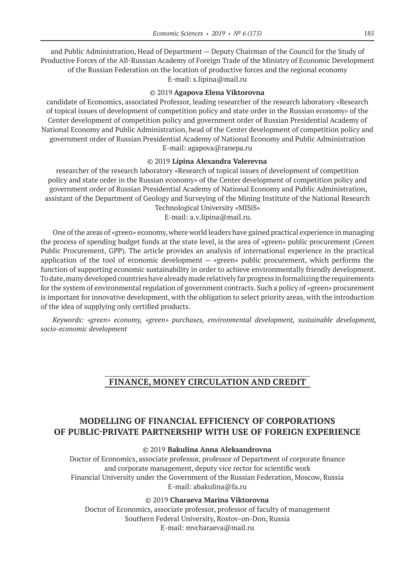and Public Administration, Head of Department — Deputy Chairman of the Council for the Study of Productive Forces of the All-Russian Academy of Foreign Trade of the Ministry of Economic Development of the Russian Federation on the location of productive forces and the regional economy E‑mail: s.lipina@mail.ru

## ©© 2019 **Agapova Elena Viktorovna**

candidate of Economics, associated Professor, leading researcher of the research laboratory «Research of topical issues of development of competition policy and state order in the Russian economy» of the Center development of competition policy and government order of Russian Presidential Academy of National Economy and Public Administration, head of the Center development of competition policy and government order of Russian Presidential Academy of National Economy and Public Administration E‑mail: agapova@ranepa.ru

## ©© 2019 **Lipina Alexandra Valerevna**

researcher of the research laboratory «Research of topical issues of development of competition policy and state order in the Russian economy» of the Center development of competition policy and government order of Russian Presidential Academy of National Economy and Public Administration, assistant of the Department of Geology and Surveying of the Mining Institute of the National Research Technological University «MISiS»

E‑mail: a.v.lipina@mail.ru.

One of the areas of «green» economy, where world leaders have gained practical experience in managing the process of spending budget funds at the state level, is the area of «green» public procurement (Green Public Procurement, GPP). The article provides an analysis of international experience in the practical application of the tool of economic development — «green» public procurement, which performs the function of supporting economic sustainability in order to achieve environmentally friendly development. To date, many developed countries have already made relatively far progress in formalizing the requirements for the system of environmental regulation of government contracts. Such a policy of «green» procurement is important for innovative development, with the obligation to select priority areas, with the introduction of the idea of supplying only certified products.

*Keywords: «green» economy, «green» purchases, environmental development, sustainable development, socio-economic development*

# **FINANCE, MONEY CIRCULATION AND CREDIT**

# **MODELLING OF FINANCIAL EFFICIENCY OF CORPORATIONS OF PUBLIC-PRIVATE PARTNERSHIP WITH USE OF FOREIGN EXPERIENCE**

## ©© 2019 **Bakulina Anna Aleksandrovna**

Doctor of Economics, associate professor, professor of Department of corporate finance and corporate management, deputy vice rector for scientific work Financial University under the Government of the Russian Federation, Moscow, Russia E‑mail: abakulina@fa.ru

©© 2019 **Charaeva Marina Viktorovna**

Doctor of Economics, associate professor, professor of faculty of management Southern Federal University, Rostov-on-Don, Russia E-mail: mvcharaeva@mail.ru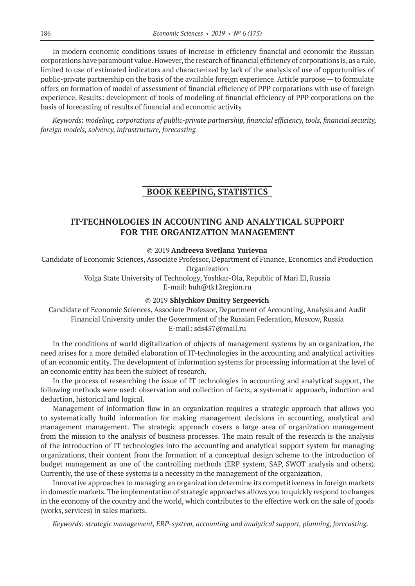In modern economic conditions issues of increase in efficiency financial and economic the Russian corporations have paramount value. However, the research of financial efficiency of corporations is, as a rule, limited to use of estimated indicators and characterized by lack of the analysis of use of opportunities of public-private partnership on the basis of the available foreign experience. Article purpose — to formulate offers on formation of model of assessment of financial efficiency of PPP corporations with use of foreign experience. Results: development of tools of modeling of financial efficiency of PPP corporations on the basis of forecasting of results of financial and economic activity

*Keywords: modeling, corporations of public-private partnership, financial efficiency, tools, financial security, foreign models, solvency, infrastructure, forecasting*

## **BOOK KEEPING, STATISTICS**

# **IT-TECHNOLOGIES IN ACCOUNTING AND ANALYTICAL SUPPORT FOR THE ORGANIZATION MANAGEMENT**

©© 2019 **Andreeva Svetlana Yurievna**

Candidate of Economic Sciences, Associate Professor, Department of Finance, Economics and Production Organization Volga State University of Technology, Yoshkar-Ola, Republic of Mari El, Russia

E‑mail: buh@tk12region.ru

## ©© 2019 **Shlychkov Dmitry Sergeevich**

Candidate of Economic Sciences, Associate Professor, Department of Accounting, Analysis and Audit Financial University under the Government of the Russian Federation, Moscow, Russia E‑mail: sds457@mail.ru

In the conditions of world digitalization of objects of management systems by an organization, the need arises for a more detailed elaboration of IT‑technologies in the accounting and analytical activities of an economic entity. The development of information systems for processing information at the level of an economic entity has been the subject of research.

In the process of researching the issue of IT technologies in accounting and analytical support, the following methods were used: observation and collection of facts, a systematic approach, induction and deduction, historical and logical.

Management of information flow in an organization requires a strategic approach that allows you to systematically build information for making management decisions in accounting, analytical and management management. The strategic approach covers a large area of organization management from the mission to the analysis of business processes. The main result of the research is the analysis of the introduction of IT technologies into the accounting and analytical support system for managing organizations, their content from the formation of a conceptual design scheme to the introduction of budget management as one of the controlling methods (ERP system, SAP, SWOT analysis and others). Currently, the use of these systems is a necessity in the management of the organization.

Innovative approaches to managing an organization determine its competitiveness in foreign markets in domestic markets. The implementation of strategic approaches allows you to quickly respond to changes in the economy of the country and the world, which contributes to the effective work on the sale of goods (works, services) in sales markets.

*Keywords: strategic management, ERP‑system, accounting and analytical support, planning, forecasting.*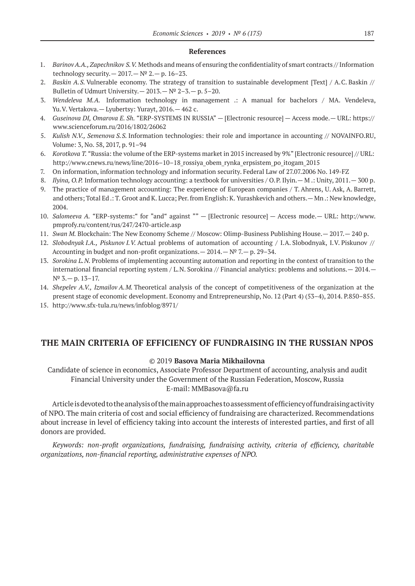## **References**

- 1. *Barinov A.A., Zapechnikov S.V.* Methods and means of ensuring the confidentiality of smart contracts // Information technology security.  $-2017 - N^2 2 - p. 16-23$ .
- 2. *Baskin A.S.* Vulnerable economy. The strategy of transition to sustainable development [Text] / A.C. Baskin // Bulletin of Udmurt University.  $- 2013. - N^{\circ} 2 - 3. - p. 5 - 20.$
- 3. *Wendeleva M.A.* Information technology in management .: A manual for bachelors / MA. Vendeleva, Yu.V. Vertakova.— Lyubertsy: Yurayt, 2016.— 462 c.
- 4. *Guseinova DI, Omarova E. Sh.* "ERP-SYSTEMS IN RUSSIA" [Electronic resource] Access mode.— URL: https:// www.scienceforum.ru/2016/1802/26062
- 5. *Kulish N.V., Semenova S.S.* Information technologies: their role and importance in accounting // NOVAINFO.RU, Volume: 3, No. 58, 2017, p. 91–94
- 6. *Korotkova T.* "Russia: the volume of the ERP‑systems market in 2015 increased by 9%" [Electronic resource] // URL: http://www.cnews.ru/news/line/2016–10–18\_rossiya\_obem\_rynka\_erpsistem\_po\_itogam\_2015
- 7. On information, information technology and information security. Federal Law of 27.07.2006 No. 149-FZ
- 8. *Ilyina, O.P.* Information technology accounting: a textbook for universities / O.P. Ilyin.— M .: Unity, 2011.— 300 p.
- 9. The practice of management accounting: The experience of European companies / T. Ahrens, U. Ask, A. Barrett, and others; Total Ed .: T. Groot and K. Lucca; Per. from English: K. Yurashkevich and others. — Mn .: New knowledge, 2004.
- 10. *Salomeeva A.* "ERP-systems:" for "and" against "" [Electronic resource] Access mode.— URL: http://www. pmprofy.ru/content/rus/247/2470-article.asp
- 11. *Swan M.* Blockchain: The New Economy Scheme // Moscow: Olimp-Business Publishing House.— 2017.— 240 p.
- 12. *Slobodnyak I.A., Piskunov I.V.* Actual problems of automation of accounting / I.A. Slobodnyak, I.V. Piskunov // Accounting in budget and non-profit organizations.  $- 2014$ .  $- N<sup>o</sup>$  7.  $- p$ . 29–34.
- 13. *Sorokina L.N.* Problems of implementing accounting automation and reporting in the context of transition to the international financial reporting system / L.N. Sorokina // Financial analytics: problems and solutions. - 2014. - $N^{\circ}$  3. - p. 13-17.
- 14. *Shepelev A.V., Izmailov A.M.* Theoretical analysis of the concept of competitiveness of the organization at the present stage of economic development. Economy and Entrepreneurship, No. 12 (Part 4) (53–4), 2014. P.850–855.
- 15. http://www.sfx-tula.ru/news/infoblog/8971/

## **THE MAIN CRITERIA OF EFFICIENCY OF FUNDRAISING IN THE RUSSIAN NPOS**

#### ©© 2019 **Basova Maria Mikhailovna**

Candidate of science in economics, Associate Professor Department of accounting, analysis and audit Financial University under the Government of the Russian Federation, Moscow, Russia E‑mail: MMBasova@fa.ru

Article is devoted to the analysis of the main approaches to assessment of efficiency of fundraising activity of NPO. The main criteria of cost and social efficiency of fundraising are characterized. Recommendations about increase in level of efficiency taking into account the interests of interested parties, and first of all donors are provided.

*Keywords: non-profit organizations, fundraising, fundraising activity, criteria of efficiency, charitable organizations, non-financial reporting, administrative expenses of NPO.*